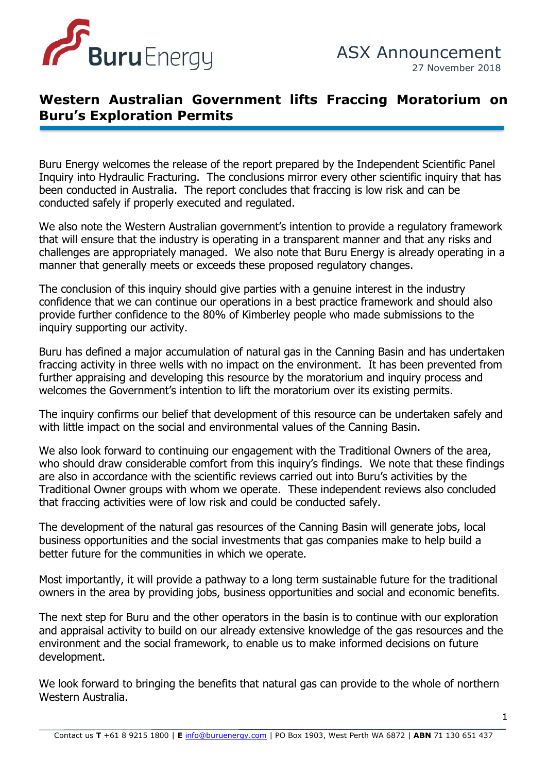

## **Western Australian Government lifts Fraccing Moratorium on Buru's Exploration Permits**

Buru Energy welcomes the release of the report prepared by the Independent Scientific Panel Inquiry into Hydraulic Fracturing. The conclusions mirror every other scientific inquiry that has been conducted in Australia. The report concludes that fraccing is low risk and can be conducted safely if properly executed and regulated.

ention to provide a reg We also note the Western Australian government's intention to provide a regulatory framework that will ensure that the industry is operating in a transparent manner and that any risks and challenges are appropriately managed. We also note that Buru Energy is already operating in a manner that generally meets or exceeds these proposed regulatory changes.

The conclusion of this inquiry should give parties with a genuine interest in the industry confidence that we can continue our operations in a best practice framework and should also provide further confidence to the 80% of Kimberley people who made submissions to the inquiry supporting our activity.

Buru has defined a major accumulation of natural gas in the Canning Basin and has undertaken fraccing activity in three wells with no impact on the environment. It has been prevented from further appraising and developing this resource by the moratorium and inquiry process and welcomes the Government's intention to lift the moratorium over its existing permits.

The inquiry confirms our belief that development of this resource can be undertaken safely and with little impact on the social and environmental values of the Canning Basin.

We also look forward to continuing our engagement with the Traditional Owners of the area, who should draw considerable comfort from this inquiry's findings. We note that these findings are also in accordance with the scientific reviews carried out into Buru's activities by the Traditional Owner groups with whom we operate. These independent reviews also concluded that fraccing activities were of low risk and could be conducted safely.

The development of the natural gas resources of the Canning Basin will generate jobs, local business opportunities and the social investments that gas companies make to help build a better future for the communities in which we operate.

Most importantly, it will provide a pathway to a long term sustainable future for the traditional owners in the area by providing jobs, business opportunities and social and economic benefits.

The next step for Buru and the other operators in the basin is to continue with our exploration and appraisal activity to build on our already extensive knowledge of the gas resources and the environment and the social framework, to enable us to make informed decisions on future development.

We look forward to bringing the benefits that natural gas can provide to the whole of northern Western Australia.